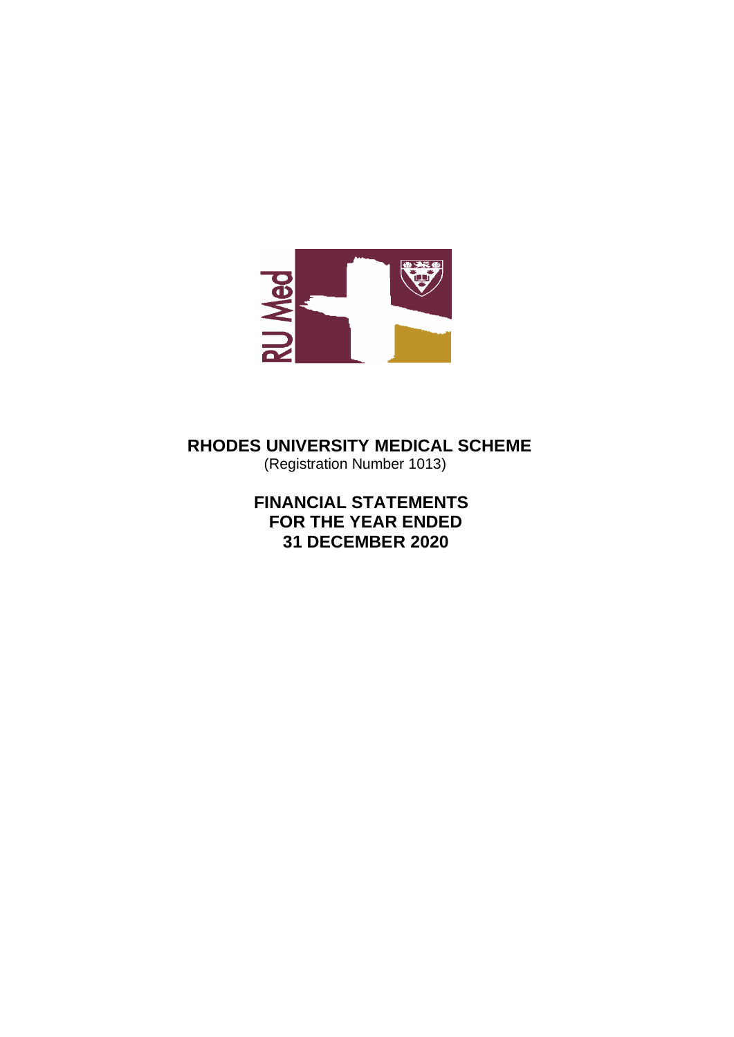

 **RHODES UNIVERSITY MEDICAL SCHEME** (Registration Number 1013)

> **FINANCIAL STATEMENTS FOR THE YEAR ENDED 31 DECEMBER 2020**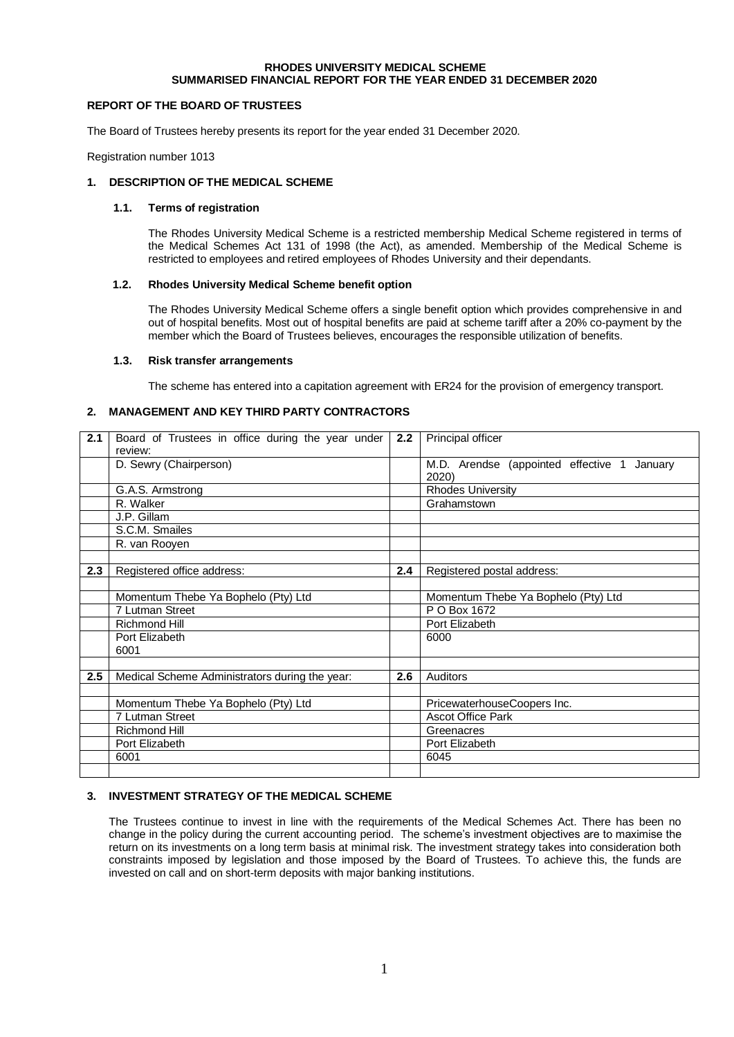## **RHODES UNIVERSITY MEDICAL SCHEME SUMMARISED FINANCIAL REPORT FOR THE YEAR ENDED 31 DECEMBER 2020**

## **REPORT OF THE BOARD OF TRUSTEES**

The Board of Trustees hereby presents its report for the year ended 31 December 2020.

Registration number 1013

## **1. DESCRIPTION OF THE MEDICAL SCHEME**

## **1.1. Terms of registration**

The Rhodes University Medical Scheme is a restricted membership Medical Scheme registered in terms of the Medical Schemes Act 131 of 1998 (the Act), as amended. Membership of the Medical Scheme is restricted to employees and retired employees of Rhodes University and their dependants.

## **1.2. Rhodes University Medical Scheme benefit option**

The Rhodes University Medical Scheme offers a single benefit option which provides comprehensive in and out of hospital benefits. Most out of hospital benefits are paid at scheme tariff after a 20% co-payment by the member which the Board of Trustees believes, encourages the responsible utilization of benefits.

### **1.3. Risk transfer arrangements**

The scheme has entered into a capitation agreement with ER24 for the provision of emergency transport.

## **2. MANAGEMENT AND KEY THIRD PARTY CONTRACTORS**

| 2.1 | Board of Trustees in office during the year under | 2.2 | Principal officer                           |
|-----|---------------------------------------------------|-----|---------------------------------------------|
|     | review:                                           |     |                                             |
|     | D. Sewry (Chairperson)                            |     | M.D. Arendse (appointed effective 1 January |
|     |                                                   |     | 2020)                                       |
|     |                                                   |     |                                             |
|     | G.A.S. Armstrong                                  |     | <b>Rhodes University</b>                    |
|     | R. Walker                                         |     | Grahamstown                                 |
|     | J.P. Gillam                                       |     |                                             |
|     | S.C.M. Smailes                                    |     |                                             |
|     | R. van Rooyen                                     |     |                                             |
|     |                                                   |     |                                             |
| 2.3 | Registered office address:                        | 2.4 | Registered postal address:                  |
|     |                                                   |     |                                             |
|     | Momentum Thebe Ya Bophelo (Pty) Ltd               |     | Momentum Thebe Ya Bophelo (Pty) Ltd         |
|     | 7 Lutman Street                                   |     | P O Box 1672                                |
|     | <b>Richmond Hill</b>                              |     | Port Elizabeth                              |
|     | Port Elizabeth                                    |     | 6000                                        |
|     | 6001                                              |     |                                             |
|     |                                                   |     |                                             |
| 2.5 | Medical Scheme Administrators during the year:    | 2.6 | Auditors                                    |
|     |                                                   |     |                                             |
|     | Momentum Thebe Ya Bophelo (Pty) Ltd               |     | PricewaterhouseCoopers Inc.                 |
|     | 7 Lutman Street                                   |     | <b>Ascot Office Park</b>                    |
|     | <b>Richmond Hill</b>                              |     | Greenacres                                  |
|     | Port Elizabeth                                    |     | Port Elizabeth                              |
|     | 6001                                              |     | 6045                                        |
|     |                                                   |     |                                             |

## **3. INVESTMENT STRATEGY OF THE MEDICAL SCHEME**

The Trustees continue to invest in line with the requirements of the Medical Schemes Act. There has been no change in the policy during the current accounting period. The scheme's investment objectives are to maximise the return on its investments on a long term basis at minimal risk. The investment strategy takes into consideration both constraints imposed by legislation and those imposed by the Board of Trustees. To achieve this, the funds are invested on call and on short-term deposits with major banking institutions.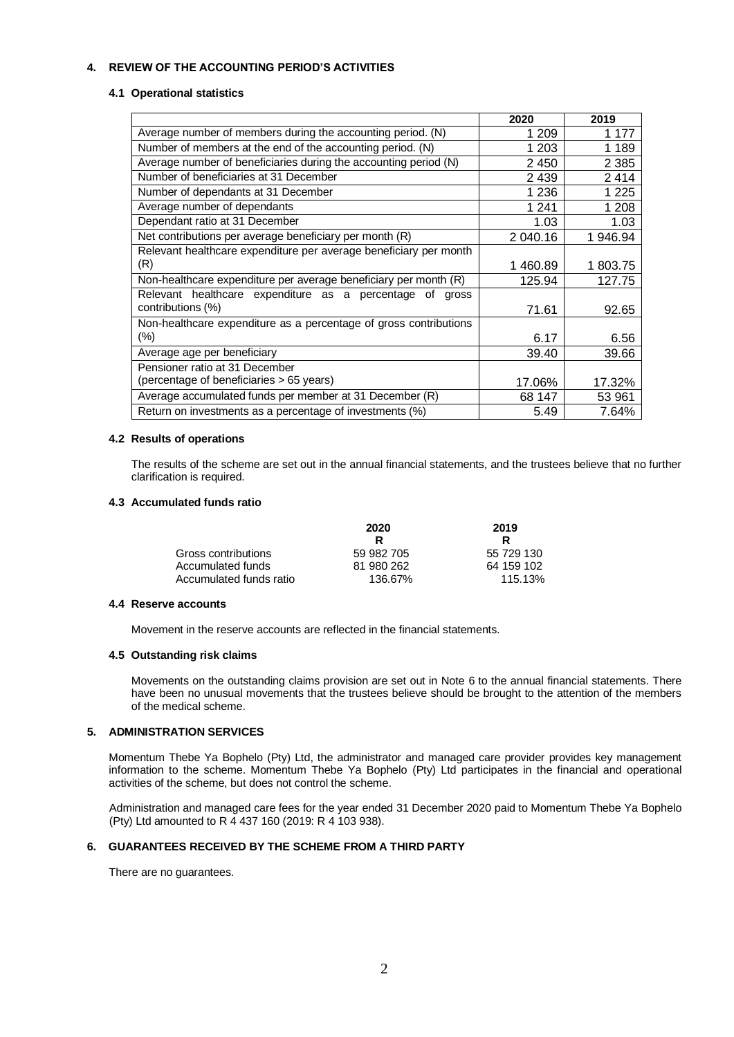## **4. REVIEW OF THE ACCOUNTING PERIOD'S ACTIVITIES**

### **4.1 Operational statistics**

|                                                                   | 2020     | 2019     |
|-------------------------------------------------------------------|----------|----------|
| Average number of members during the accounting period. (N)       | 1 209    | 1 177    |
| Number of members at the end of the accounting period. (N)        | 1 203    | 1 1 8 9  |
| Average number of beneficiaries during the accounting period (N)  | 2 4 5 0  | 2 3 8 5  |
| Number of beneficiaries at 31 December                            | 2 4 3 9  | 2414     |
| Number of dependants at 31 December                               | 1 2 3 6  | 1 2 2 5  |
| Average number of dependants                                      | 1 2 4 1  | 1 208    |
| Dependant ratio at 31 December                                    | 1.03     | 1.03     |
| Net contributions per average beneficiary per month (R)           | 2 040.16 | 1 946.94 |
| Relevant healthcare expenditure per average beneficiary per month |          |          |
| (R)                                                               | 1460.89  | 1 803.75 |
| Non-healthcare expenditure per average beneficiary per month (R)  | 125.94   | 127.75   |
| Relevant healthcare expenditure as a percentage of<br>gross       |          |          |
| contributions (%)                                                 | 71.61    | 92.65    |
| Non-healthcare expenditure as a percentage of gross contributions |          |          |
| (%)                                                               | 6.17     | 6.56     |
| Average age per beneficiary                                       | 39.40    | 39.66    |
| Pensioner ratio at 31 December                                    |          |          |
| (percentage of beneficiaries > 65 years)                          | 17.06%   | 17.32%   |
| Average accumulated funds per member at 31 December (R)           | 68 147   | 53 961   |
| Return on investments as a percentage of investments (%)          | 5.49     | 7.64%    |

### **4.2 Results of operations**

The results of the scheme are set out in the annual financial statements, and the trustees believe that no further clarification is required.

## **4.3 Accumulated funds ratio**

|                         | 2020       | 2019       |  |
|-------------------------|------------|------------|--|
|                         | R          | R          |  |
| Gross contributions     | 59 982 705 | 55 729 130 |  |
| Accumulated funds       | 81 980 262 | 64 159 102 |  |
| Accumulated funds ratio | 136.67%    | 115.13%    |  |

### **4.4 Reserve accounts**

Movement in the reserve accounts are reflected in the financial statements.

### **4.5 Outstanding risk claims**

Movements on the outstanding claims provision are set out in Note 6 to the annual financial statements. There have been no unusual movements that the trustees believe should be brought to the attention of the members of the medical scheme.

### **5. ADMINISTRATION SERVICES**

Momentum Thebe Ya Bophelo (Pty) Ltd, the administrator and managed care provider provides key management information to the scheme. Momentum Thebe Ya Bophelo (Pty) Ltd participates in the financial and operational activities of the scheme, but does not control the scheme.

Administration and managed care fees for the year ended 31 December 2020 paid to Momentum Thebe Ya Bophelo (Pty) Ltd amounted to R 4 437 160 (2019: R 4 103 938).

## **6. GUARANTEES RECEIVED BY THE SCHEME FROM A THIRD PARTY**

There are no guarantees.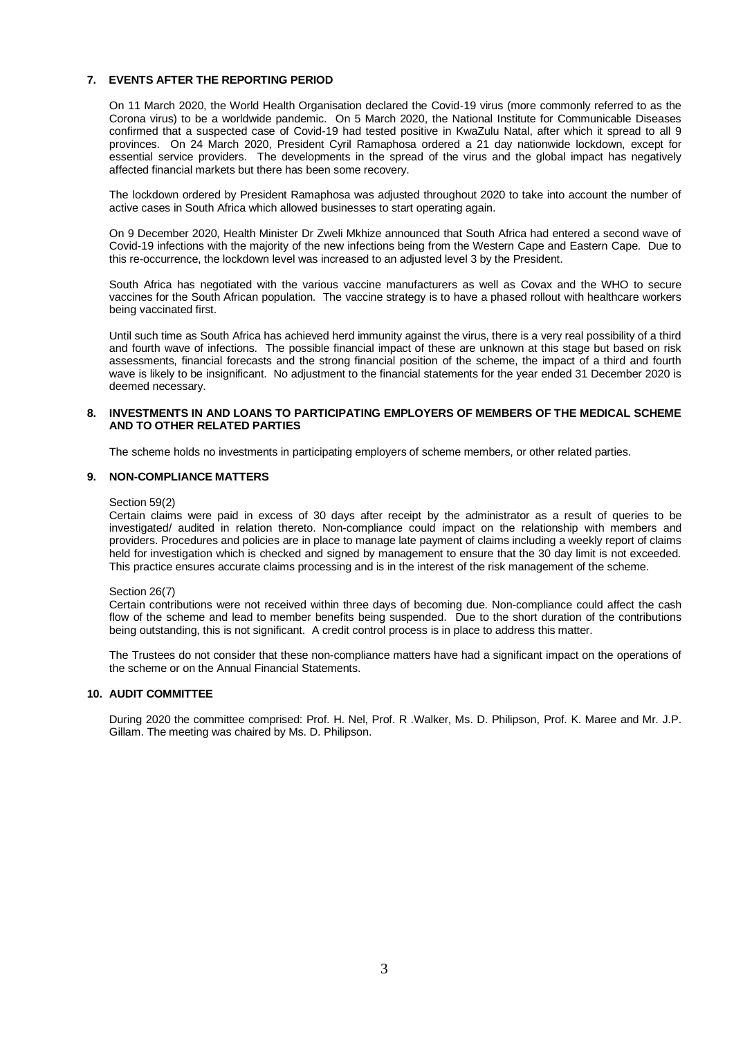## **7. EVENTS AFTER THE REPORTING PERIOD**

On 11 March 2020, the World Health Organisation declared the Covid-19 virus (more commonly referred to as the Corona virus) to be a worldwide pandemic. On 5 March 2020, the National Institute for Communicable Diseases confirmed that a suspected case of Covid-19 had tested positive in KwaZulu Natal, after which it spread to all 9 provinces. On 24 March 2020, President Cyril Ramaphosa ordered a 21 day nationwide lockdown, except for essential service providers. The developments in the spread of the virus and the global impact has negatively affected financial markets but there has been some recovery.

The lockdown ordered by President Ramaphosa was adjusted throughout 2020 to take into account the number of active cases in South Africa which allowed businesses to start operating again.

On 9 December 2020, Health Minister Dr Zweli Mkhize announced that South Africa had entered a second wave of Covid-19 infections with the majority of the new infections being from the Western Cape and Eastern Cape. Due to this re-occurrence, the lockdown level was increased to an adjusted level 3 by the President.

South Africa has negotiated with the various vaccine manufacturers as well as Covax and the WHO to secure vaccines for the South African population. The vaccine strategy is to have a phased rollout with healthcare workers being vaccinated first.

Until such time as South Africa has achieved herd immunity against the virus, there is a very real possibility of a third and fourth wave of infections. The possible financial impact of these are unknown at this stage but based on risk assessments, financial forecasts and the strong financial position of the scheme, the impact of a third and fourth wave is likely to be insignificant. No adjustment to the financial statements for the year ended 31 December 2020 is deemed necessary.

## **8. INVESTMENTS IN AND LOANS TO PARTICIPATING EMPLOYERS OF MEMBERS OF THE MEDICAL SCHEME AND TO OTHER RELATED PARTIES**

The scheme holds no investments in participating employers of scheme members, or other related parties.

## **9. NON-COMPLIANCE MATTERS**

Section 59(2)

Certain claims were paid in excess of 30 days after receipt by the administrator as a result of queries to be investigated/ audited in relation thereto. Non-compliance could impact on the relationship with members and providers. Procedures and policies are in place to manage late payment of claims including a weekly report of claims held for investigation which is checked and signed by management to ensure that the 30 day limit is not exceeded. This practice ensures accurate claims processing and is in the interest of the risk management of the scheme.

### Section 26(7)

Certain contributions were not received within three days of becoming due. Non-compliance could affect the cash flow of the scheme and lead to member benefits being suspended. Due to the short duration of the contributions being outstanding, this is not significant. A credit control process is in place to address this matter.

The Trustees do not consider that these non-compliance matters have had a significant impact on the operations of the scheme or on the Annual Financial Statements.

### **10. AUDIT COMMITTEE**

During 2020 the committee comprised: Prof. H. Nel, Prof. R .Walker, Ms. D. Philipson, Prof. K. Maree and Mr. J.P. Gillam. The meeting was chaired by Ms. D. Philipson.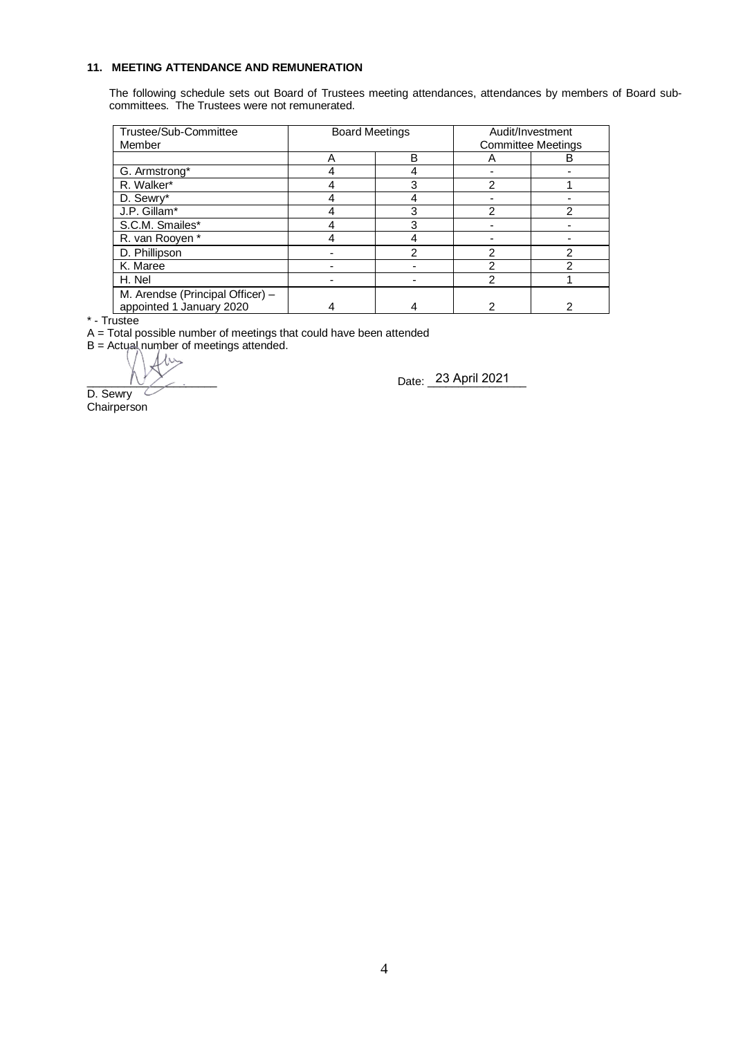## **11. MEETING ATTENDANCE AND REMUNERATION**

The following schedule sets out Board of Trustees meeting attendances, attendances by members of Board subcommittees. The Trustees were not remunerated.

| Trustee/Sub-Committee<br>Member                              | <b>Board Meetings</b> |   | Audit/Investment<br><b>Committee Meetings</b> |   |  |
|--------------------------------------------------------------|-----------------------|---|-----------------------------------------------|---|--|
|                                                              |                       | B |                                               | в |  |
| G. Armstrong*                                                |                       |   |                                               |   |  |
| R. Walker*                                                   |                       | 3 | 2                                             |   |  |
| D. Sewry*                                                    |                       |   |                                               |   |  |
| J.P. Gillam*                                                 |                       | З | っ                                             | っ |  |
| S.C.M. Smailes*                                              |                       | З |                                               |   |  |
| R. van Rooyen*                                               |                       |   |                                               |   |  |
| D. Phillipson                                                |                       | ⌒ | っ                                             | ◠ |  |
| K. Maree                                                     |                       |   | っ                                             |   |  |
| H. Nel                                                       |                       |   | ኅ                                             |   |  |
| M. Arendse (Principal Officer) -<br>appointed 1 January 2020 |                       |   |                                               |   |  |

\* - Trustee

A = Total possible number of meetings that could have been attended

 $B =$  Actual number of meetings attended.

 $1\omega$ 

\_\_\_\_\_\_\_\_\_\_\_\_\_\_\_\_\_\_\_\_\_ Date: \_\_\_\_\_\_\_\_\_\_\_\_\_\_\_\_ 23 April 2021

D. Sewry **Chairperson**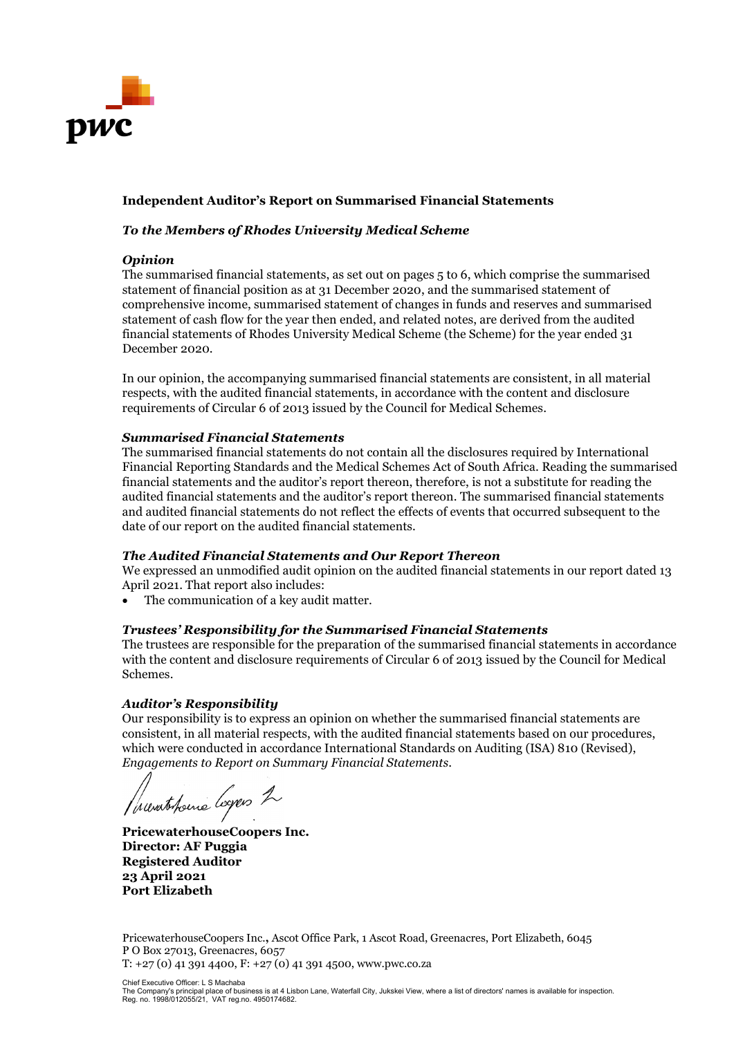

# **Independent Auditor's Report on Summarised Financial Statements**

# *To the Members of Rhodes University Medical Scheme*

# *Opinion*

The summarised financial statements, as set out on pages 5 to 6, which comprise the summarised statement of financial position as at 31 December 2020, and the summarised statement of comprehensive income, summarised statement of changes in funds and reserves and summarised statement of cash flow for the year then ended, and related notes, are derived from the audited financial statements of Rhodes University Medical Scheme (the Scheme) for the year ended 31 December 2020.

In our opinion, the accompanying summarised financial statements are consistent, in all material respects, with the audited financial statements, in accordance with the content and disclosure requirements of Circular 6 of 2013 issued by the Council for Medical Schemes.

# *Summarised Financial Statements*

The summarised financial statements do not contain all the disclosures required by International Financial Reporting Standards and the Medical Schemes Act of South Africa. Reading the summarised financial statements and the auditor's report thereon, therefore, is not a substitute for reading the audited financial statements and the auditor's report thereon. The summarised financial statements and audited financial statements do not reflect the effects of events that occurred subsequent to the date of our report on the audited financial statements.

## *The Audited Financial Statements and Our Report Thereon*

We expressed an unmodified audit opinion on the audited financial statements in our report dated 13 April 2021. That report also includes:

The communication of a key audit matter.

# *Trustees' Responsibility for the Summarised Financial Statements*

The trustees are responsible for the preparation of the summarised financial statements in accordance with the content and disclosure requirements of Circular 6 of 2013 issued by the Council for Medical Schemes.

# *Auditor's Responsibility*

Our responsibility is to express an opinion on whether the summarised financial statements are consistent, in all material respects, with the audited financial statements based on our procedures, which were conducted in accordance International Standards on Auditing (ISA) 810 (Revised), *Engagements to Report on Summary Financial Statements*.

Incontratione loyers 2

**PricewaterhouseCoopers Inc. Director: AF Puggia Registered Auditor 23 April 2021 Port Elizabeth**

PricewaterhouseCoopers Inc.**,** Ascot Office Park, 1 Ascot Road, Greenacres, Port Elizabeth, 6045 P O Box 27013, Greenacres, 6057  $T: +27(0)$  41 391 4400,  $F: +27(0)$  41 391 4500, www.pwc.co.za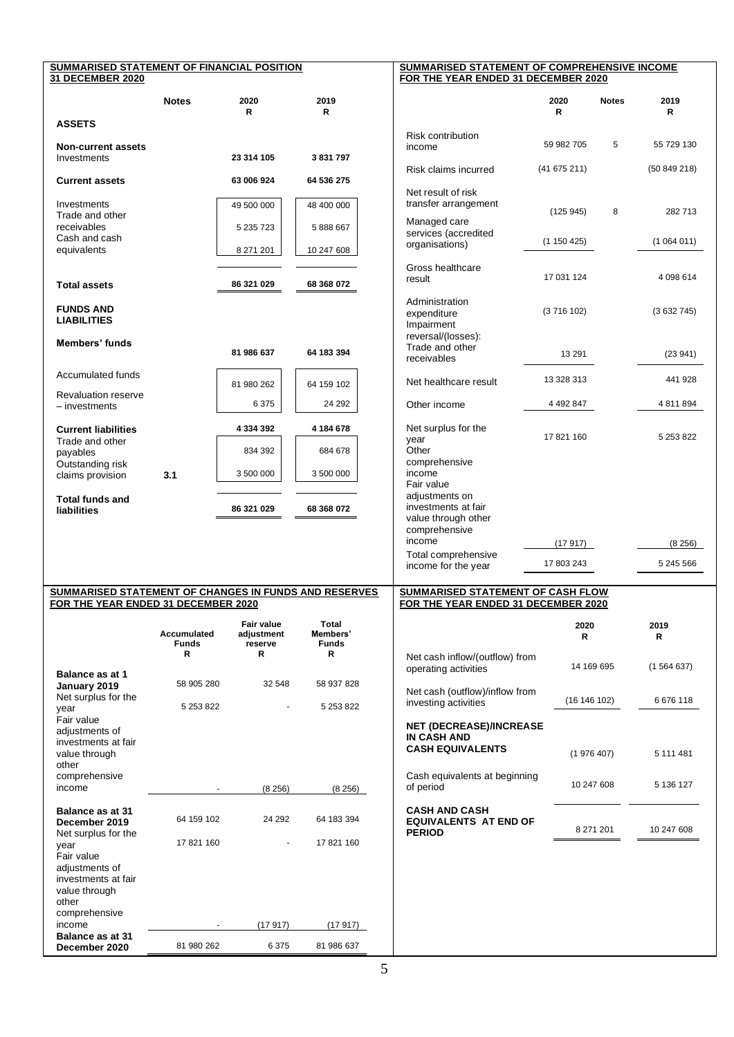| SUMMARISED STATEMENT OF FINANCIAL POSITION<br>31 DECEMBER 2020  |                                    |                                     |                                   | SUMMARISED STATEMENT OF COMPREHENSIVE INCOME<br>FOR THE YEAR ENDED 31 DECEMBER 2020 |            |              |            |
|-----------------------------------------------------------------|------------------------------------|-------------------------------------|-----------------------------------|-------------------------------------------------------------------------------------|------------|--------------|------------|
|                                                                 | <b>Notes</b>                       | 2020<br>R.                          | 2019<br>R                         |                                                                                     | 2020<br>R  | <b>Notes</b> | 2019<br>R  |
| <b>ASSETS</b>                                                   |                                    |                                     |                                   |                                                                                     |            |              |            |
| <b>Non-current assets</b><br>Investments                        |                                    | 23 314 105                          | 3831797                           | <b>Risk contribution</b><br>income                                                  | 59 982 705 | 5            | 55 729 130 |
| <b>Current assets</b>                                           |                                    | 63 006 924                          | 64 536 275                        | Risk claims incurred                                                                | (41675211) |              | (50849218) |
| Investments                                                     |                                    | 49 500 000                          | 48 400 000                        | Net result of risk<br>transfer arrangement                                          |            |              |            |
| Trade and other<br>receivables                                  |                                    | 5 235 723                           | 5888667                           | Managed care<br>services (accredited                                                | (125945)   | 8            | 282713     |
| Cash and cash<br>equivalents                                    |                                    | 8 271 201                           | 10 247 608                        | organisations)                                                                      | (1150425)  |              | (1064011)  |
| <b>Total assets</b>                                             |                                    | 86 321 029                          | 68 368 072                        | Gross healthcare<br>result                                                          | 17 031 124 |              | 4 098 614  |
| <b>FUNDS AND</b><br><b>LIABILITIES</b>                          |                                    |                                     |                                   | Administration<br>expenditure                                                       | (3716102)  |              | (3632745)  |
| Members' funds                                                  |                                    | 81 986 637                          | 64 183 394                        | Impairment<br>reversal/(losses):<br>Trade and other<br>receivables                  | 13 291     |              | (23941)    |
| Accumulated funds                                               |                                    | 81 980 262                          | 64 159 102                        | Net healthcare result                                                               | 13 328 313 |              | 441 928    |
| <b>Revaluation reserve</b><br>$-$ investments                   |                                    | 6 3 7 5                             | 24 29 2                           | Other income                                                                        | 4 492 847  |              | 4 811 894  |
| <b>Current liabilities</b>                                      |                                    | 4 334 392                           | 4 184 678                         | Net surplus for the<br>year                                                         | 17 821 160 |              | 5 253 822  |
| Trade and other<br>payables<br>Outstanding risk                 |                                    | 834 392                             | 684 678                           | Other<br>comprehensive                                                              |            |              |            |
| claims provision                                                | 3.1                                | 3 500 000                           | 3 500 000                         | income<br>Fair value                                                                |            |              |            |
| <b>Total funds and</b><br>liabilities                           |                                    | 86 321 029                          | 68 368 072                        | adjustments on<br>investments at fair                                               |            |              |            |
|                                                                 |                                    |                                     |                                   | value through other<br>comprehensive<br>income                                      | (17 917)   |              | (8256)     |
|                                                                 |                                    |                                     |                                   | Total comprehensive<br>income for the year                                          | 17 803 243 |              | 5 245 566  |
| SUMMARISED STATEMENT OF CHANGES IN FUNDS AND RESERVES           |                                    |                                     |                                   | SUMMARISED STATEMENT OF CASH FLOW                                                   |            |              |            |
| FOR THE YEAR ENDED 31 DECEMBER 2020                             |                                    |                                     |                                   | FOR THE YEAR ENDED 31 DECEMBER 2020                                                 |            |              |            |
|                                                                 | <b>Accumulated</b><br><b>Funds</b> | Fair value<br>adjustment<br>reserve | Total<br>Members'<br><b>Funds</b> |                                                                                     | 2020<br>R  |              | 2019<br>R  |
| Balance as at 1                                                 | R                                  | R                                   | R                                 | Net cash inflow/(outflow) from<br>operating activities                              | 14 169 695 |              | (1564637)  |
| January 2019<br>Net surplus for the                             | 58 905 280                         | 32 548                              | 58 937 828                        | Net cash (outflow)/inflow from<br>investing activities                              | (16146102) |              | 6 676 118  |
| year<br>Fair value                                              | 5 253 822                          |                                     | 5 253 822                         |                                                                                     |            |              |            |
| adjustments of<br>investments at fair<br>value through          |                                    |                                     |                                   | <b>NET (DECREASE)/INCREASE</b><br>IN CASH AND<br><b>CASH EQUIVALENTS</b>            | (1976407)  |              | 5 111 481  |
| other<br>comprehensive                                          |                                    |                                     |                                   | Cash equivalents at beginning                                                       |            |              |            |
| income                                                          |                                    | (8256)                              | (8256)                            | of period                                                                           | 10 247 608 |              | 5 136 127  |
| <b>Balance as at 31</b><br>December 2019<br>Net surplus for the | 64 159 102                         | 24 29 2                             | 64 183 394                        | <b>CASH AND CASH</b><br><b>EQUIVALENTS AT END OF</b><br><b>PERIOD</b>               |            | 8 271 201    | 10 247 608 |
| year<br>Fair value                                              | 17 821 160                         |                                     | 17 821 160                        |                                                                                     |            |              |            |
| adjustments of<br>investments at fair<br>value through          |                                    |                                     |                                   |                                                                                     |            |              |            |
| other<br>comprehensive                                          |                                    |                                     |                                   |                                                                                     |            |              |            |
| income<br><b>Balance as at 31</b>                               |                                    | (17917)                             | (17 917)                          |                                                                                     |            |              |            |
| December 2020                                                   | 81 980 262                         | 6 3 7 5                             | 81 986 637                        |                                                                                     |            |              |            |